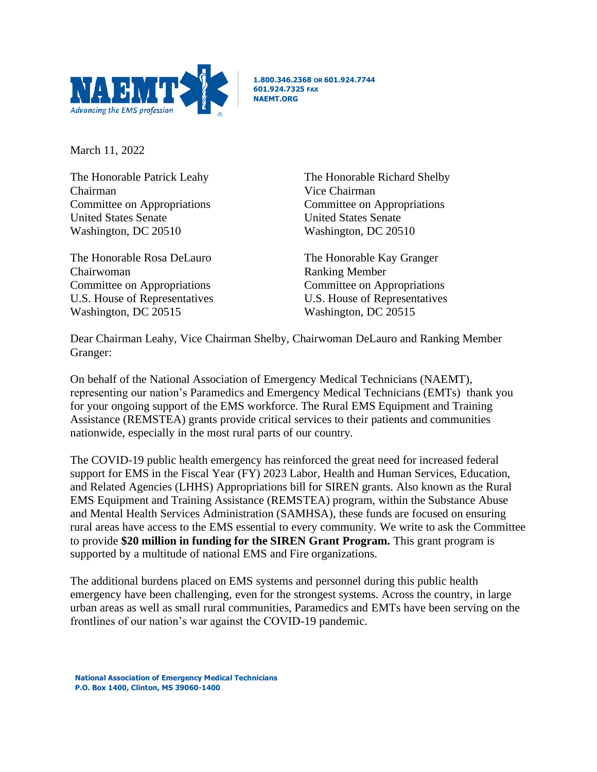

**1.800.346.2368 OR 601.924.7744 601.924.7325 FAX NAEMT.ORG**

March 11, 2022

The Honorable Patrick Leahy Chairman Committee on Appropriations United States Senate Washington, DC 20510

The Honorable Rosa DeLauro Chairwoman Committee on Appropriations U.S. House of Representatives Washington, DC 20515

The Honorable Richard Shelby Vice Chairman Committee on Appropriations United States Senate Washington, DC 20510

The Honorable Kay Granger Ranking Member Committee on Appropriations U.S. House of Representatives Washington, DC 20515

Dear Chairman Leahy, Vice Chairman Shelby, Chairwoman DeLauro and Ranking Member Granger:

On behalf of the National Association of Emergency Medical Technicians (NAEMT), representing our nation's Paramedics and Emergency Medical Technicians (EMTs) thank you for your ongoing support of the EMS workforce. The Rural EMS Equipment and Training Assistance (REMSTEA) grants provide critical services to their patients and communities nationwide, especially in the most rural parts of our country.

The COVID-19 public health emergency has reinforced the great need for increased federal support for EMS in the Fiscal Year (FY) 2023 Labor, Health and Human Services, Education, and Related Agencies (LHHS) Appropriations bill for SIREN grants. Also known as the Rural EMS Equipment and Training Assistance (REMSTEA) program, within the Substance Abuse and Mental Health Services Administration (SAMHSA), these funds are focused on ensuring rural areas have access to the EMS essential to every community. We write to ask the Committee to provide **\$20 million in funding for the SIREN Grant Program.** This grant program is supported by a multitude of national EMS and Fire organizations.

The additional burdens placed on EMS systems and personnel during this public health emergency have been challenging, even for the strongest systems. Across the country, in large urban areas as well as small rural communities, Paramedics and EMTs have been serving on the frontlines of our nation's war against the COVID-19 pandemic.

**National Association of Emergency Medical Technicians P.O. Box 1400, Clinton, MS 39060-1400**